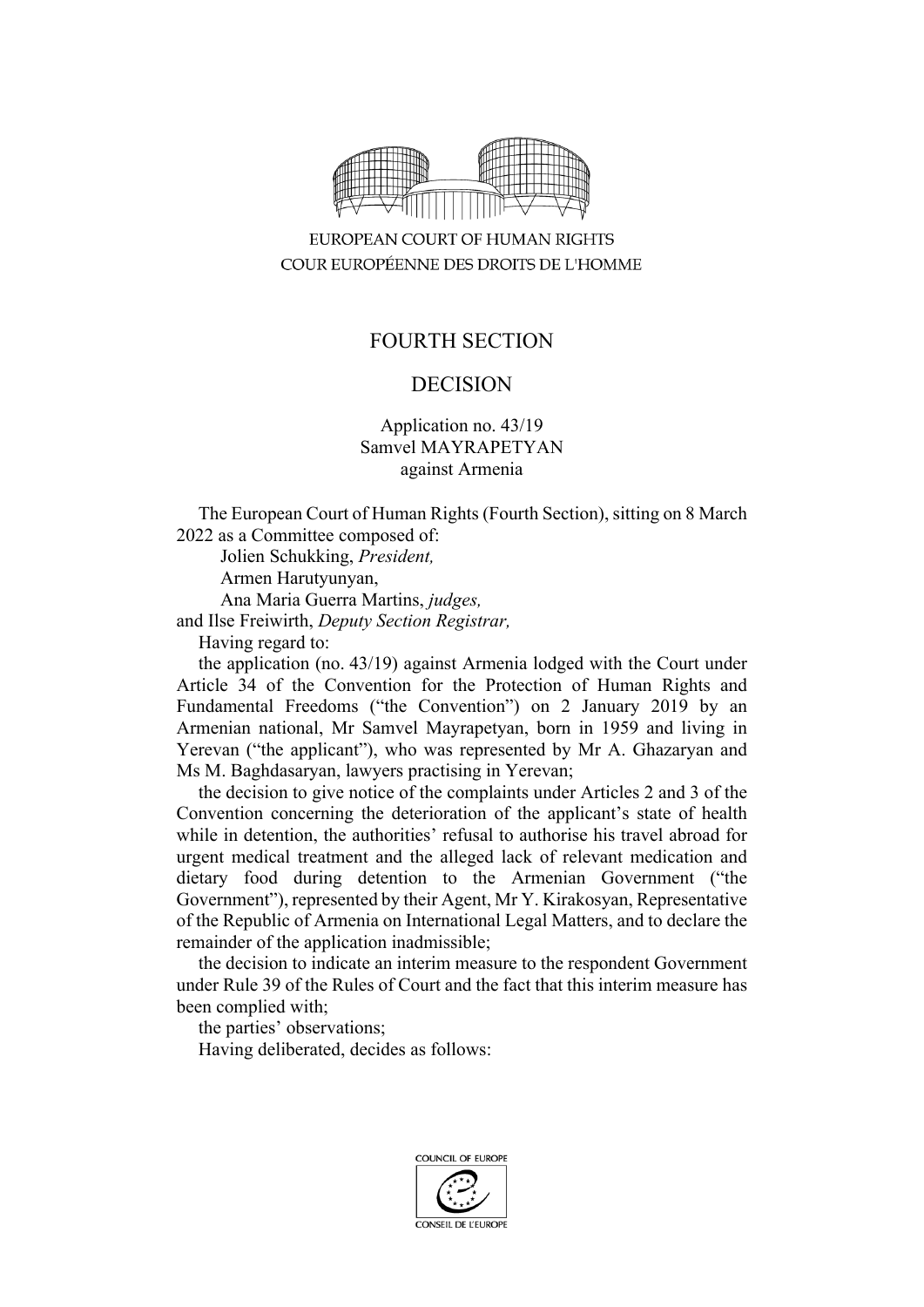

EUROPEAN COURT OF HUMAN RIGHTS COUR EUROPÉENNE DES DROITS DE L'HOMME

## FOURTH SECTION

# DECISION

#### Application no. 43/19 Samvel MAYRAPETYAN against Armenia

The European Court of Human Rights (Fourth Section), sitting on 8 March 2022 as a Committee composed of:

Jolien Schukking, *President,* Armen Harutyunyan, Ana Maria Guerra Martins, *judges,* and Ilse Freiwirth, *Deputy Section Registrar,*

Having regard to:

the application (no. 43/19) against Armenia lodged with the Court under Article 34 of the Convention for the Protection of Human Rights and Fundamental Freedoms ("the Convention") on 2 January 2019 by an Armenian national, Mr Samvel Mayrapetyan, born in 1959 and living in Yerevan ("the applicant"), who was represented by Mr A. Ghazaryan and Ms M. Baghdasaryan, lawyers practising in Yerevan;

the decision to give notice of the complaints under Articles 2 and 3 of the Convention concerning the deterioration of the applicant's state of health while in detention, the authorities' refusal to authorise his travel abroad for urgent medical treatment and the alleged lack of relevant medication and dietary food during detention to the Armenian Government ("the Government"), represented by their Agent, Mr Y. Kirakosyan, Representative of the Republic of Armenia on International Legal Matters, and to declare the remainder of the application inadmissible;

the decision to indicate an interim measure to the respondent Government under Rule 39 of the Rules of Court and the fact that this interim measure has been complied with;

the parties' observations;

Having deliberated, decides as follows:

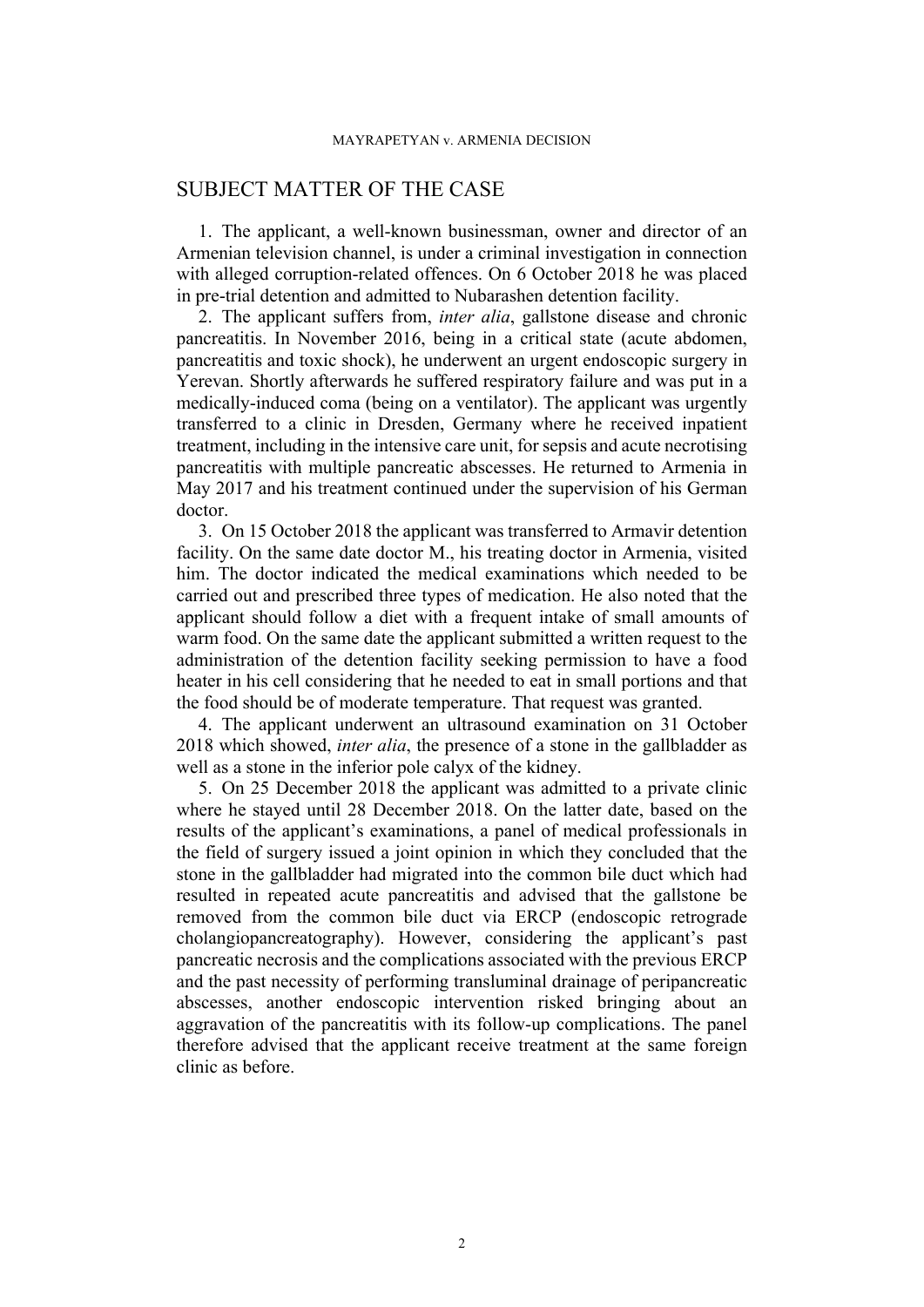### SUBJECT MATTER OF THE CASE

1. The applicant, a well-known businessman, owner and director of an Armenian television channel, is under a criminal investigation in connection with alleged corruption-related offences. On 6 October 2018 he was placed in pre-trial detention and admitted to Nubarashen detention facility.

<span id="page-1-0"></span>2. The applicant suffers from, *inter alia*, gallstone disease and chronic pancreatitis. In November 2016, being in a critical state (acute abdomen, pancreatitis and toxic shock), he underwent an urgent endoscopic surgery in Yerevan. Shortly afterwards he suffered respiratory failure and was put in a medically-induced coma (being on a ventilator). The applicant was urgently transferred to a clinic in Dresden, Germany where he received inpatient treatment, including in the intensive care unit, for sepsis and acute necrotising pancreatitis with multiple pancreatic abscesses. He returned to Armenia in May 2017 and his treatment continued under the supervision of his German doctor.

<span id="page-1-2"></span>3. On 15 October 2018 the applicant was transferred to Armavir detention facility. On the same date doctor M., his treating doctor in Armenia, visited him. The doctor indicated the medical examinations which needed to be carried out and prescribed three types of medication. He also noted that the applicant should follow a diet with a frequent intake of small amounts of warm food. On the same date the applicant submitted a written request to the administration of the detention facility seeking permission to have a food heater in his cell considering that he needed to eat in small portions and that the food should be of moderate temperature. That request was granted.

<span id="page-1-3"></span>4. The applicant underwent an ultrasound examination on 31 October 2018 which showed, *inter alia*, the presence of a stone in the gallbladder as well as a stone in the inferior pole calyx of the kidney.

<span id="page-1-1"></span>5. On 25 December 2018 the applicant was admitted to a private clinic where he stayed until 28 December 2018. On the latter date, based on the results of the applicant's examinations, a panel of medical professionals in the field of surgery issued a joint opinion in which they concluded that the stone in the gallbladder had migrated into the common bile duct which had resulted in repeated acute pancreatitis and advised that the gallstone be removed from the common bile duct via ERCP (endoscopic retrograde cholangiopancreatography). However, considering the applicant's past pancreatic necrosis and the complications associated with the previous ERCP and the past necessity of performing transluminal drainage of peripancreatic abscesses, another endoscopic intervention risked bringing about an aggravation of the pancreatitis with its follow-up complications. The panel therefore advised that the applicant receive treatment at the same foreign clinic as before.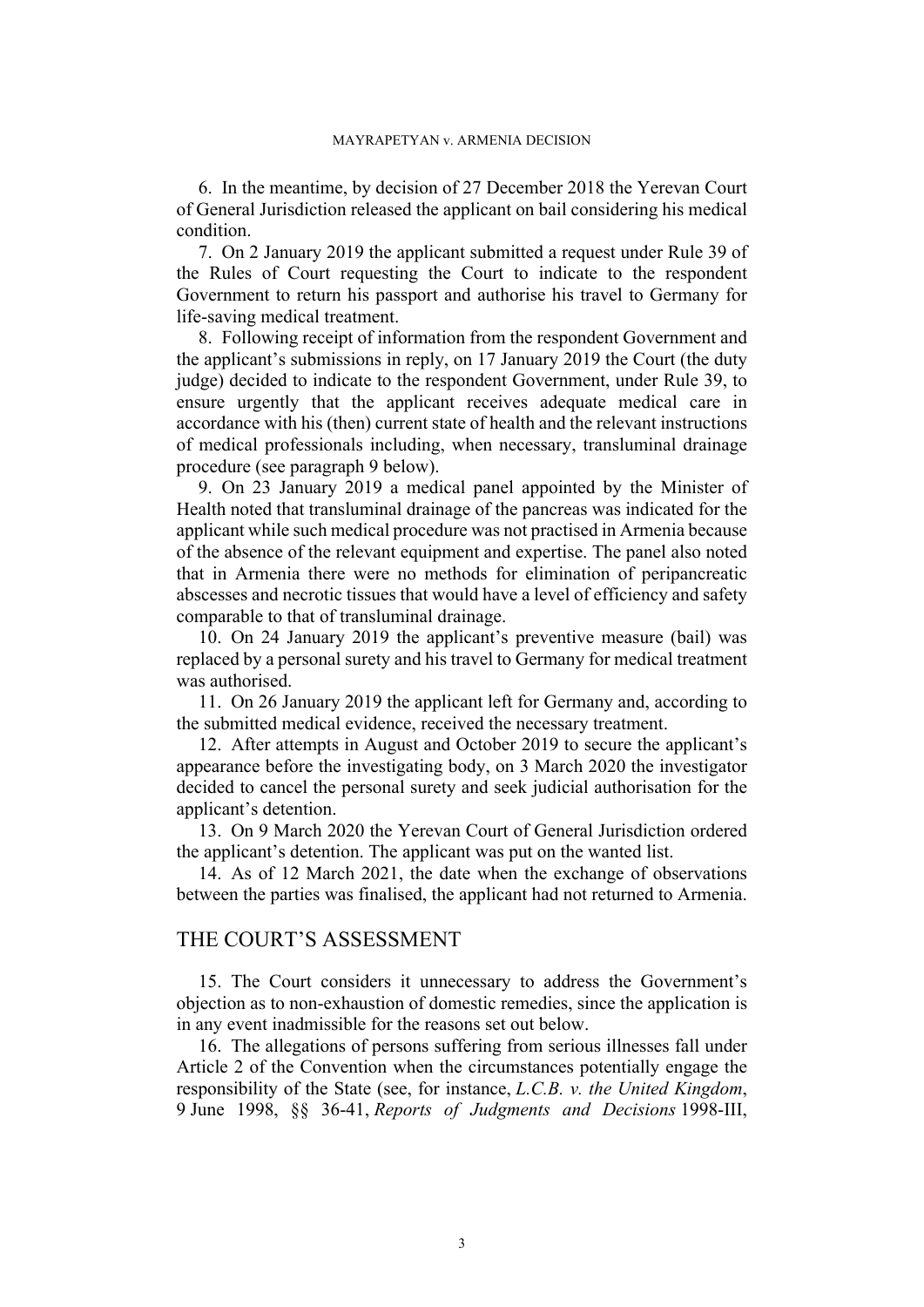<span id="page-2-1"></span>6. In the meantime, by decision of 27 December 2018 the Yerevan Court of General Jurisdiction released the applicant on bail considering his medical condition.

7. On 2 January 2019 the applicant submitted a request under Rule 39 of the Rules of Court requesting the Court to indicate to the respondent Government to return his passport and authorise his travel to Germany for life-saving medical treatment.

8. Following receipt of information from the respondent Government and the applicant's submissions in reply, on 17 January 2019 the Court (the duty judge) decided to indicate to the respondent Government, under Rule 39, to ensure urgently that the applicant receives adequate medical care in accordance with his (then) current state of health and the relevant instructions of medical professionals including, when necessary, transluminal drainage procedure (see paragraph [9](#page-2-0) below).

<span id="page-2-0"></span>9. On 23 January 2019 a medical panel appointed by the Minister of Health noted that transluminal drainage of the pancreas was indicated for the applicant while such medical procedure was not practised in Armenia because of the absence of the relevant equipment and expertise. The panel also noted that in Armenia there were no methods for elimination of peripancreatic abscesses and necrotic tissues that would have a level of efficiency and safety comparable to that of transluminal drainage.

<span id="page-2-2"></span>10. On 24 January 2019 the applicant's preventive measure (bail) was replaced by a personal surety and his travel to Germany for medical treatment was authorised.

<span id="page-2-3"></span>11. On 26 January 2019 the applicant left for Germany and, according to the submitted medical evidence, received the necessary treatment.

12. After attempts in August and October 2019 to secure the applicant's appearance before the investigating body, on 3 March 2020 the investigator decided to cancel the personal surety and seek judicial authorisation for the applicant's detention.

13. On 9 March 2020 the Yerevan Court of General Jurisdiction ordered the applicant's detention. The applicant was put on the wanted list.

14. As of 12 March 2021, the date when the exchange of observations between the parties was finalised, the applicant had not returned to Armenia.

### THE COURT'S ASSESSMENT

15. The Court considers it unnecessary to address the Government's objection as to non-exhaustion of domestic remedies, since the application is in any event inadmissible for the reasons set out below.

16. The allegations of persons suffering from serious illnesses fall under Article 2 of the Convention when the circumstances potentially engage the responsibility of the State (see, for instance, *L.C.B. v. the United Kingdom*, 9 June 1998, §§ 36-41, *Reports of Judgments and Decisions* 1998-III,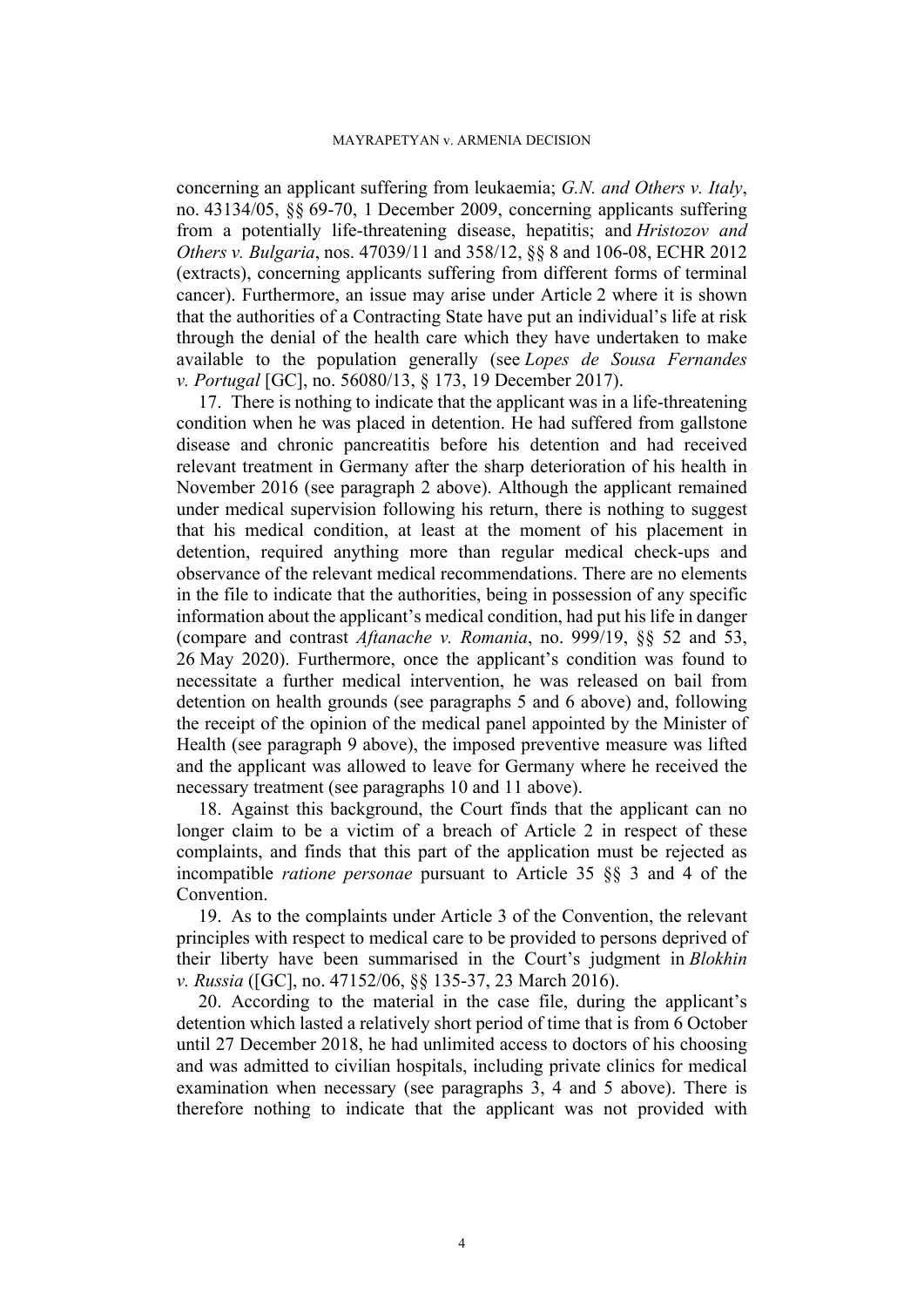concerning an applicant suffering from leukaemia; *G.N. and Others v. Italy*, no. [43134/05](https://hudoc.echr.coe.int/eng#%7B%22appno%22:%5B%2243134/05%22%5D%7D), §§ 69-70, 1 December 2009, concerning applicants suffering from a potentially life-threatening disease, hepatitis; and *Hristozov and Others v. Bulgaria*, nos. [47039/11](https://hudoc.echr.coe.int/eng#%7B%22appno%22:%5B%2247039/11%22%5D%7D) and [358/12,](https://hudoc.echr.coe.int/eng#%7B%22appno%22:%5B%22358/12%22%5D%7D) §§ 8 and 106-08, ECHR 2012 (extracts), concerning applicants suffering from different forms of terminal cancer). Furthermore, an issue may arise under Article 2 where it is shown that the authorities of a Contracting State have put an individual's life at risk through the denial of the health care which they have undertaken to make available to the population generally (see *Lopes de Sousa Fernandes v. Portugal* [GC], no. [56080/13,](https://hudoc.echr.coe.int/eng#%7B%22appno%22:%5B%2256080/13%22%5D%7D) § 173, 19 December 2017).

17. There is nothing to indicate that the applicant was in a life-threatening condition when he was placed in detention. He had suffered from gallstone disease and chronic pancreatitis before his detention and had received relevant treatment in Germany after the sharp deterioration of his health in November 2016 (see paragraph [2](#page-1-0) above). Although the applicant remained under medical supervision following his return, there is nothing to suggest that his medical condition, at least at the moment of his placement in detention, required anything more than regular medical check-ups and observance of the relevant medical recommendations. There are no elements in the file to indicate that the authorities, being in possession of any specific information about the applicant's medical condition, had put his life in danger (compare and contrast *Aftanache v. Romania*, no. 999/19, §§ 52 and 53, 26 May 2020). Furthermore, once the applicant's condition was found to necessitate a further medical intervention, he was released on bail from detention on health grounds (see paragraphs [5](#page-1-1) and [6](#page-2-1) above) and, following the receipt of the opinion of the medical panel appointed by the Minister of Health (see paragraph [9](#page-2-0) above), the imposed preventive measure was lifted and the applicant was allowed to leave for Germany where he received the necessary treatment (see paragraphs [10](#page-2-2) and [11](#page-2-3) above).

18. Against this background, the Court finds that the applicant can no longer claim to be a victim of a breach of Article 2 in respect of these complaints, and finds that this part of the application must be rejected as incompatible *ratione personae* pursuant to Article 35 §§ 3 and 4 of the Convention.

19. As to the complaints under Article 3 of the Convention, the relevant principles with respect to medical care to be provided to persons deprived of their liberty have been summarised in the Court's judgment in *Blokhin v. Russia* ([GC], no. [47152/06](https://hudoc.echr.coe.int/eng#%7B%22appno%22:%5B%2247152/06%22%5D%7D), §§ 135-37, 23 March 2016).

20. According to the material in the case file, during the applicant's detention which lasted a relatively short period of time that is from 6 October until 27 December 2018, he had unlimited access to doctors of his choosing and was admitted to civilian hospitals, including private clinics for medical examination when necessary (see paragraphs [3](#page-1-2), [4](#page-1-3) and [5](#page-1-1) above). There is therefore nothing to indicate that the applicant was not provided with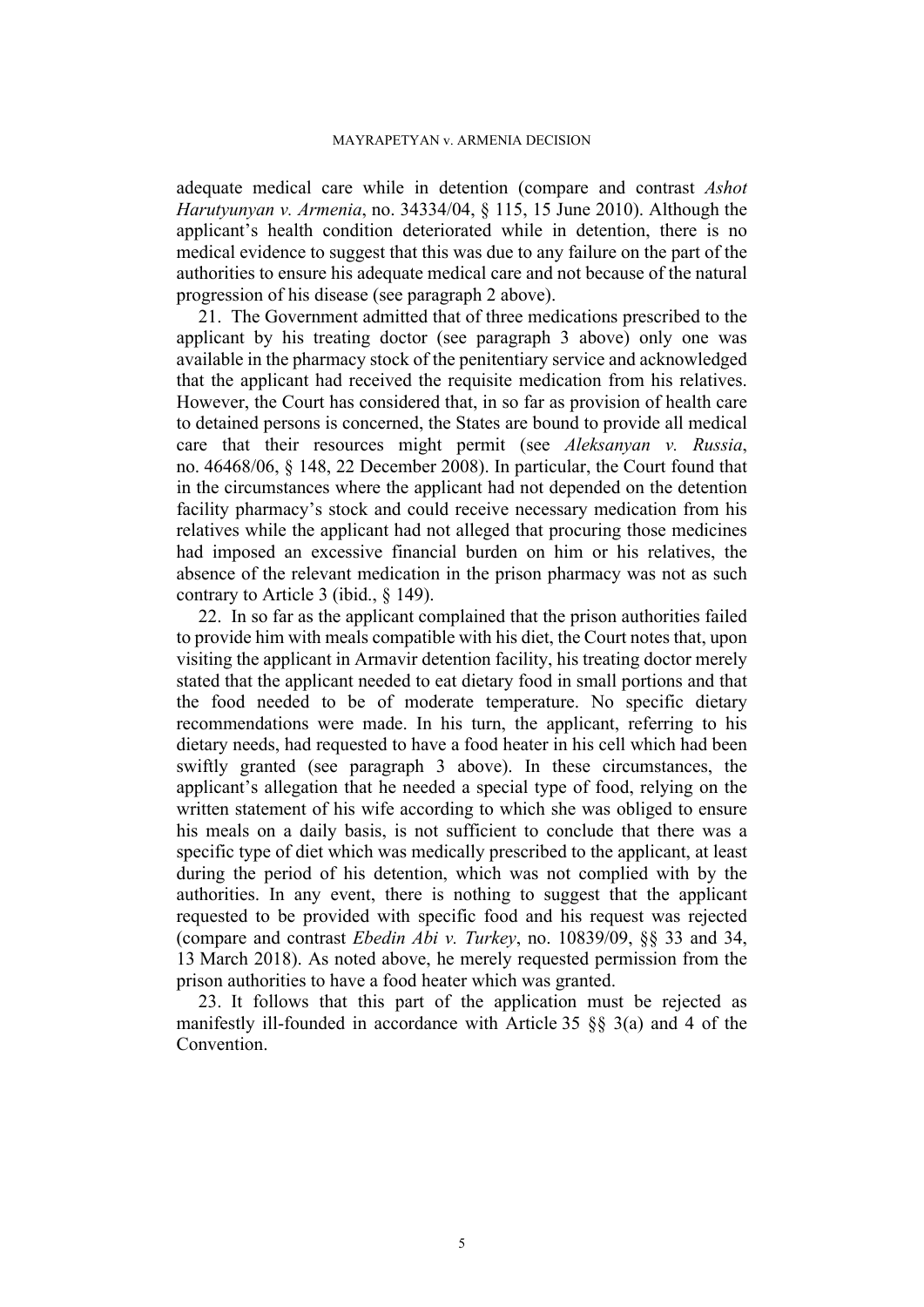adequate medical care while in detention (compare and contrast *Ashot Harutyunyan v. Armenia*, no. 34334/04, § 115, 15 June 2010). Although the applicant's health condition deteriorated while in detention, there is no medical evidence to suggest that this was due to any failure on the part of the authorities to ensure his adequate medical care and not because of the natural progression of his disease (see paragraph [2](#page-1-0) above).

21. The Government admitted that of three medications prescribed to the applicant by his treating doctor (see paragraph [3](#page-1-2) above) only one was available in the pharmacy stock of the penitentiary service and acknowledged that the applicant had received the requisite medication from his relatives. However, the Court has considered that, in so far as provision of health care to detained persons is concerned, the States are bound to provide all medical care that their resources might permit (see *Aleksanyan v. Russia*, no. 46468/06, § 148, 22 December 2008). In particular, the Court found that in the circumstances where the applicant had not depended on the detention facility pharmacy's stock and could receive necessary medication from his relatives while the applicant had not alleged that procuring those medicines had imposed an excessive financial burden on him or his relatives, the absence of the relevant medication in the prison pharmacy was not as such contrary to Article 3 (ibid., § 149).

22. In so far as the applicant complained that the prison authorities failed to provide him with meals compatible with his diet, the Court notes that, upon visiting the applicant in Armavir detention facility, his treating doctor merely stated that the applicant needed to eat dietary food in small portions and that the food needed to be of moderate temperature. No specific dietary recommendations were made. In his turn, the applicant, referring to his dietary needs, had requested to have a food heater in his cell which had been swiftly granted (see paragraph [3](#page-1-2) above). In these circumstances, the applicant's allegation that he needed a special type of food, relying on the written statement of his wife according to which she was obliged to ensure his meals on a daily basis, is not sufficient to conclude that there was a specific type of diet which was medically prescribed to the applicant, at least during the period of his detention, which was not complied with by the authorities. In any event, there is nothing to suggest that the applicant requested to be provided with specific food and his request was rejected (compare and contrast *Ebedin Abi v. Turkey*, no. 10839/09, §§ 33 and 34, 13 March 2018). As noted above, he merely requested permission from the prison authorities to have a food heater which was granted.

23. It follows that this part of the application must be rejected as manifestly ill-founded in accordance with Article 35 §§ 3(a) and 4 of the Convention.